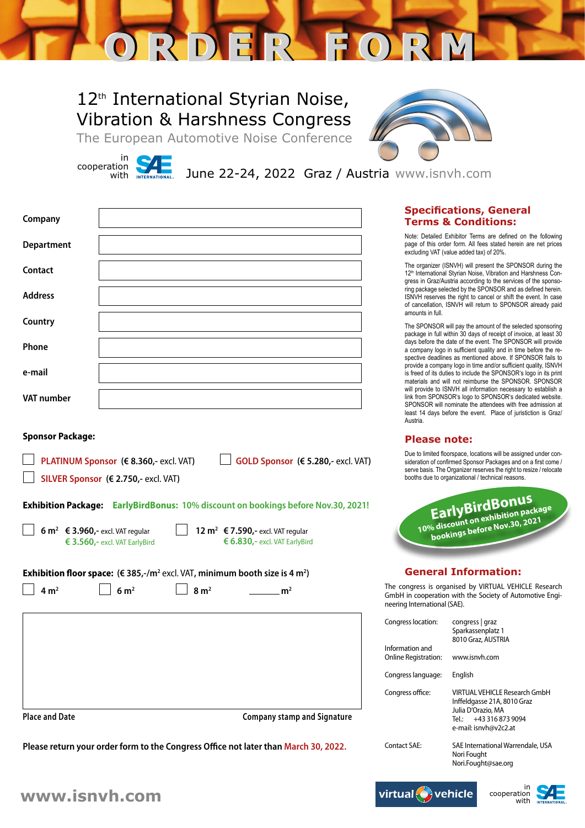# **ORDER FORM ORDER FORM ORDER FORM**

# 12<sup>th</sup> International Styrian Noise, Vibration & Harshness Congress

The European Automotive Noise Conference



WIth INTERNATIONAL. June 22-24, 2022 Graz / Austria www.isnvh.com

| Company                                                                                                         |                                                                                |                  |                                                                                |                                                                                   |  |
|-----------------------------------------------------------------------------------------------------------------|--------------------------------------------------------------------------------|------------------|--------------------------------------------------------------------------------|-----------------------------------------------------------------------------------|--|
| <b>Department</b>                                                                                               |                                                                                |                  |                                                                                |                                                                                   |  |
| Contact                                                                                                         |                                                                                |                  |                                                                                |                                                                                   |  |
| <b>Address</b>                                                                                                  |                                                                                |                  |                                                                                |                                                                                   |  |
| Country                                                                                                         |                                                                                |                  |                                                                                |                                                                                   |  |
| Phone                                                                                                           |                                                                                |                  |                                                                                |                                                                                   |  |
| e-mail                                                                                                          |                                                                                |                  |                                                                                |                                                                                   |  |
| <b>VAT number</b>                                                                                               |                                                                                |                  |                                                                                |                                                                                   |  |
| <b>Sponsor Package:</b>                                                                                         | PLATINUM Sponsor (€ 8.360,- excl. VAT)<br>SILVER Sponsor (€ 2.750,- excl. VAT) |                  |                                                                                | GOLD Sponsor (€ 5.280,- excl. VAT)                                                |  |
|                                                                                                                 |                                                                                |                  |                                                                                | Exhibition Package: EarlyBirdBonus: 10% discount on bookings before Nov.30, 2021! |  |
| 6 $m^2$ € 3.960,- excl. VAT regular                                                                             | € 3.560,- excl. VAT EarlyBird                                                  |                  | 12 m <sup>2</sup> € 7.590,- excl. VAT regular<br>€ 6.830,- excl. VAT EarlyBird |                                                                                   |  |
| <b>Exhibition floor space:</b> ( $\in$ 385,-/m <sup>2</sup> excl. VAT, minimum booth size is 4 m <sup>2</sup> ) |                                                                                |                  |                                                                                |                                                                                   |  |
| 4 m <sup>2</sup>                                                                                                | 6 m <sup>2</sup>                                                               | 8 m <sup>2</sup> |                                                                                | m <sup>2</sup>                                                                    |  |
|                                                                                                                 |                                                                                |                  |                                                                                |                                                                                   |  |

**Please return your order form to the Congress Office not later than March 30, 2022.**

**Place and Date Company stamp and Signature**

#### **Specifications, General Terms & Conditions:**

Note: Detailed Exhibitor Terms are defined on the following page of this order form. All fees stated herein are net prices excluding VAT (value added tax) of 20%.

The organizer (ISNVH) will present the SPONSOR during the 12<sup>th</sup> International Styrian Noise, Vibration and Harshness Congress in Graz/Austria according to the services of the sponsoring package selected by the SPONSOR and as defined herein. ISNVH reserves the right to cancel or shift the event. In case of cancellation, ISNVH will return to SPONSOR already paid amounts in full.

The SPONSOR will pay the amount of the selected sponsoring package in full within 30 days of receipt of invoice, at least 30 days before the date of the event. The SPONSOR will provide a company logo in sufficient quality and in time before the respective deadlines as mentioned above. If SPONSOR fails to provide a company logo in time and/or sufficient quality, ISNVH is freed of its duties to include the SPONSOR's logo in its print materials and will not reimburse the SPONSOR. SPONSOR will provide to ISNVH all information necessary to establish a link from SPONSOR's logo to SPONSOR's dedicated website. SPONSOR will nominate the attendees with free admission at least 14 days before the event. Place of juristiction is Graz/ Austria.

#### **Please note:**

Due to limited floorspace, locations will be assigned under consideration of confirmed Sponsor Packages and on a first come / serve basis. The Organizer reserves the right to resize / relocate booths due to organizational / technical reasons.

**EarlyBirdBonus 10% discount on exhibition package bookings before Nov.30, 2021**

#### **General Information:**

The congress is organised by VIRTUAL VEHICLE Research GmbH in cooperation with the Society of Automotive Engineering International (SAE).

| Congress location:          | congress   graz<br>Sparkassenplatz 1                                                                                                     |
|-----------------------------|------------------------------------------------------------------------------------------------------------------------------------------|
| Information and             | 8010 Graz, AUSTRIA                                                                                                                       |
| <b>Online Registration:</b> | www.isnyh.com                                                                                                                            |
| Congress language:          | English                                                                                                                                  |
| Congress office:            | VIRTUAL VEHICLE Research GmbH<br>Inffeldgasse 21A, 8010 Graz<br>Julia D'Orazio, MA<br>Tel.:<br>+43 316 873 9094<br>e-mail: isnvh@v2c2.at |
| Contact SAE:                | SAE International Warrendale, USA<br>Nori Fought<br>Nori.Fought@sae.org                                                                  |

**www.isnvh.com**





The European Automotive Noise Conference